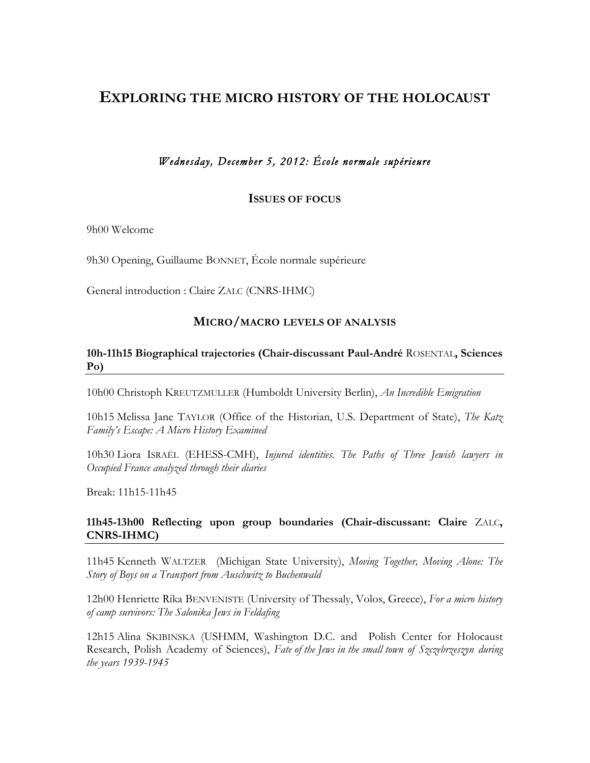# **EXPLORING THE MICRO HISTORY OF THE HOLOCAUST**

# *Wednesday, December 5, 2012: École normale supérieure*

#### **ISSUES OF FOCUS**

9h00 Welcome

9h30 Opening, Guillaume BONNET, École normale supérieure

General introduction : Claire ZALC (CNRS-IHMC)

#### **MICRO/MACRO LEVELS OF ANALYSIS**

#### **10h-11h15 Biographical trajectories (Chair-discussant Paul-André** ROSENTAL**, Sciences Po)**

10h00 Christoph KREUTZMULLER (Humboldt University Berlin), *An Incredible Emigration*

10h15 Melissa Jane TAYLOR (Office of the Historian, U.S. Department of State), *The Katz Family's Escape: A Micro History Examined*

10h30 Liora ISRAËL (EHESS-CMH), *Injured identities. The Paths of Three Jewish lawyers in Occupied France analyzed through their diaries*

Break: 11h15-11h45

## **11h45-13h00 Reflecting upon group boundaries (Chair-discussant: Claire** ZALC**, CNRS-IHMC)**

11h45 Kenneth WALTZER (Michigan State University), *Moving Together, Moving Alone: The Story of Boys on a Transport from Auschwitz to Buchenwald*

12h00 Henriette Rika BENVENISTE (University of Thessaly, Volos, Greece), *For a micro history of camp survivors: The Salonika Jews in Feldafing*

12h15 Alina SKIBINSKA (USHMM, Washington D.C. and Polish Center for Holocaust Research, Polish Academy of Sciences), *Fate of the Jews in the small town of Szczebrzeszyn during the years 1939-1945*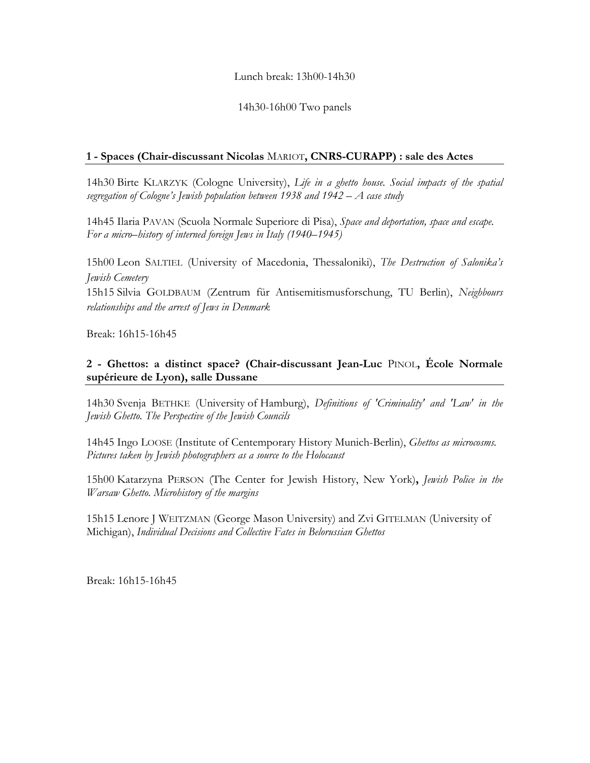## Lunch break: 13h00-14h30

#### 14h30-16h00 Two panels

#### **1 - Spaces (Chair-discussant Nicolas** MARIOT**, CNRS-CURAPP) : sale des Actes**

14h30 Birte KLARZYK (Cologne University), *Life in a ghetto house. Social impacts of the spatial segregation of Cologne's Jewish population between 1938 and 1942 – A case study*

14h45 Ilaria PAVAN (Scuola Normale Superiore di Pisa), *Space and deportation, space and escape. For a micro–history of interned foreign Jews in Italy (1940–1945)*

15h00 Leon SALTIEL (University of Macedonia, Thessaloniki), *The Destruction of Salonika's Jewish Cemetery*

15h15 Silvia GOLDBAUM (Zentrum für Antisemitismusforschung, TU Berlin), *Neighbours relationships and the arrest of Jews in Denmark*

Break: 16h15-16h45

# **2 - Ghettos: a distinct space? (Chair-discussant Jean-Luc** PINOL**, École Normale supérieure de Lyon), salle Dussane**

14h30 Svenja BETHKE (University of Hamburg), *Definitions of 'Criminality' and 'Law' in the Jewish Ghetto. The Perspective of the Jewish Councils*

14h45 Ingo LOOSE (Institute of Centemporary History Munich-Berlin), *Ghettos as microcosms. Pictures taken by Jewish photographers as a source to the Holocaust*

15h00 Katarzyna PERSON (The Center for Jewish History, New York)**,** *Jewish Police in the Warsaw Ghetto. Microhistory of the margins*

15h15 Lenore J WEITZMAN (George Mason University) and Zvi GITELMAN (University of Michigan), *Individual Decisions and Collective Fates in Belorussian Ghettos*

Break: 16h15-16h45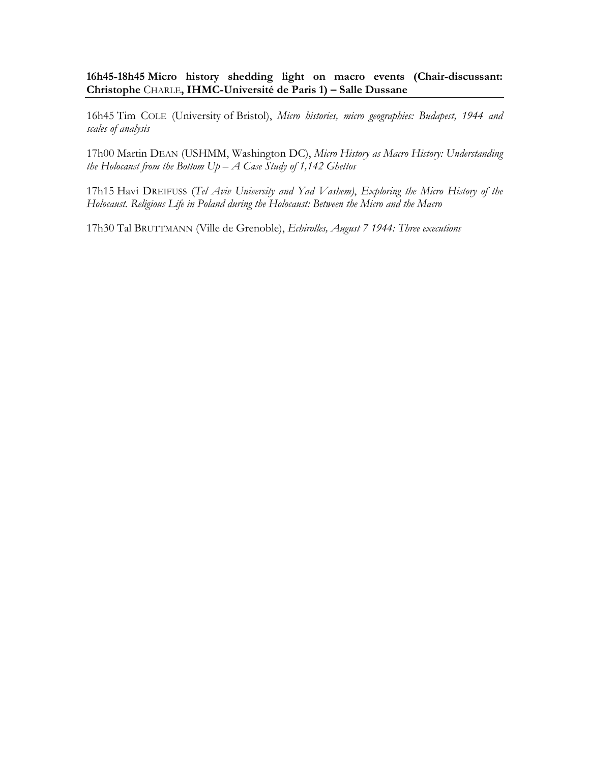**16h45-18h45 Micro history shedding light on macro events (Chair-discussant: Christophe** CHARLE**, IHMC-Université de Paris 1) – Salle Dussane**

16h45 Tim COLE (University of Bristol), *Micro histories, micro geographies: Budapest, 1944 and scales of analysis*

17h00 Martin DEAN (USHMM, Washington DC), *Micro History as Macro History: Understanding the Holocaust from the Bottom Up – A Case Study of 1,142 Ghettos*

17h15 Havi DREIFUSS (*Tel Aviv University and Yad Vashem)*, *Exploring the Micro History of the Holocaust. Religious Life in Poland during the Holocaust: Between the Micro and the Macro*

17h30 Tal BRUTTMANN (Ville de Grenoble), *Echirolles, August 7 1944: Three executions*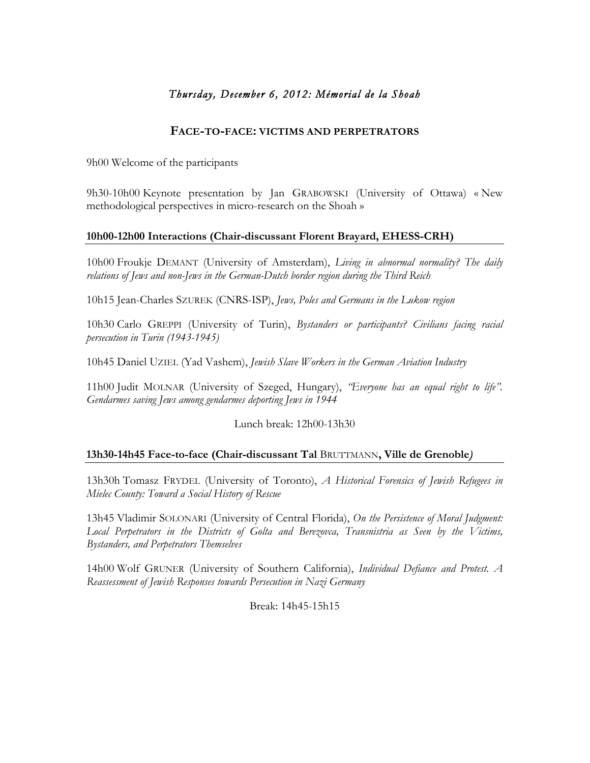# *Thursday, December 6, 2012: Mémorial de la Shoah*

# **FACE-TO-FACE: VICTIMS AND PERPETRATORS**

9h00 Welcome of the participants

9h30-10h00 Keynote presentation by Jan GRABOWSKI (University of Ottawa) « New methodological perspectives in micro-research on the Shoah »

## **10h00-12h00 Interactions (Chair-discussant Florent Brayard, EHESS-CRH)**

10h00 Froukje DEMANT (University of Amsterdam), *Living in abnormal normality? The daily relations of Jews and non-Jews in the German-Dutch border region during the Third Reich*

10h15 Jean-Charles SZUREK (CNRS-ISP), *Jews, Poles and Germans in the Lukow region*

10h30 Carlo GREPPI (University of Turin), *Bystanders or participants? Civilians facing racial persecution in Turin (1943-1945)*

10h45 Daniel UZIEL (Yad Vashem), *Jewish Slave Workers in the German Aviation Industry*

11h00 Judit MOLNAR (University of Szeged, Hungary), *"Everyone has an equal right to life". Gendarmes saving Jews among gendarmes deporting Jews in 1944*

Lunch break: 12h00-13h30

## **13h30-14h45 Face-to-face (Chair-discussant Tal** BRUTTMANN**, Ville de Grenoble***)*

13h30h Tomasz FRYDEL (University of Toronto), *A Historical Forensics of Jewish Refugees in Mielec County: Toward a Social History of Rescue*

13h45 Vladimir SOLONARI (University of Central Florida), *On the Persistence of Moral Judgment: Local Perpetrators in the Districts of Golta and Berezovca, Transnistria as Seen by the Victims, Bystanders, and Perpetrators Themselves*

14h00 Wolf GRUNER (University of Southern California), *Individual Defiance and Protest. A Reassessment of Jewish Responses towards Persecution in Nazi Germany*

Break: 14h45-15h15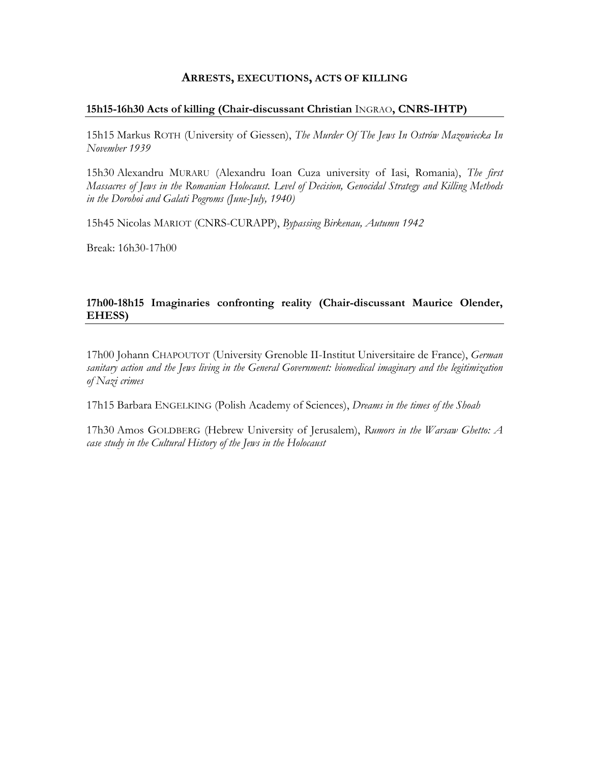#### **ARRESTS, EXECUTIONS, ACTS OF KILLING**

#### **15h15-16h30 Acts of killing (Chair-discussant Christian** INGRAO**, CNRS-IHTP)**

15h15 Markus ROTH (University of Giessen), *The Murder Of The Jews In Ostrów Mazowiecka In November 1939*

15h30 Alexandru MURARU (Alexandru Ioan Cuza university of Iasi, Romania), *The first Massacres of Jews in the Romanian Holocaust. Level of Decision, Genocidal Strategy and Killing Methods in the Dorohoi and Galati Pogroms (June-July, 1940)*

15h45 Nicolas MARIOT (CNRS-CURAPP), *Bypassing Birkenau, Autumn 1942*

Break: 16h30-17h00

# **17h00-18h15 Imaginaries confronting reality (Chair-discussant Maurice Olender, EHESS)**

17h00 Johann CHAPOUTOT (University Grenoble II-Institut Universitaire de France), *German sanitary action and the Jews living in the General Government: biomedical imaginary and the legitimization of Nazi crimes*

17h15 Barbara ENGELKING (Polish Academy of Sciences), *Dreams in the times of the Shoah*

17h30 Amos GOLDBERG (Hebrew University of Jerusalem), *Rumors in the Warsaw Ghetto: A case study in the Cultural History of the Jews in the Holocaust*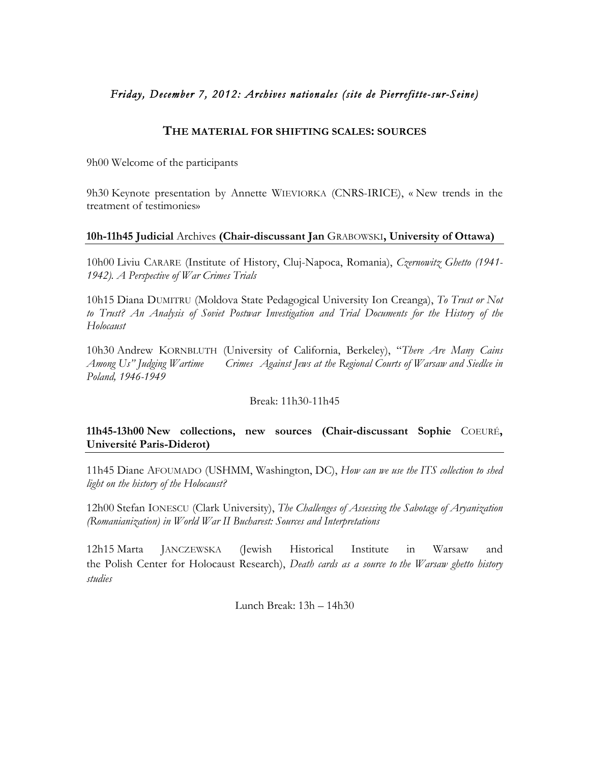# *Friday, December 7, 2012: Archives nationales (site de Pierrefitte-sur-Seine)*

## **THE MATERIAL FOR SHIFTING SCALES: SOURCES**

9h00 Welcome of the participants

9h30 Keynote presentation by Annette WIEVIORKA (CNRS-IRICE), « New trends in the treatment of testimonies»

## **10h-11h45 Judicial** Archives **(Chair-discussant Jan** GRABOWSKI**, University of Ottawa)**

10h00 Liviu CARARE (Institute of History, Cluj-Napoca, Romania), *Czernowitz Ghetto (1941- 1942). A Perspective of War Crimes Trials* 

10h15 Diana DUMITRU (Moldova State Pedagogical University Ion Creanga), *To Trust or Not to Trust? An Analysis of Soviet Postwar Investigation and Trial Documents for the History of the Holocaust*

10h30 Andrew KORNBLUTH (University of California, Berkeley), "*There Are Many Cains Among Us" Judging Wartime Crimes Against Jews at the Regional Courts of Warsaw and Siedlce in Poland, 1946-1949*

## Break: 11h30-11h45

# **11h45-13h00 New collections, new sources (Chair-discussant Sophie** COEURÉ**, Université Paris-Diderot)**

11h45 Diane AFOUMADO (USHMM, Washington, DC), *How can we use the ITS collection to shed light on the history of the Holocaust?*

12h00 Stefan IONESCU (Clark University), *The Challenges of Assessing the Sabotage of Aryanization (Romanianization) in World War II Bucharest: Sources and Interpretations*

12h15 Marta JANCZEWSKA (Jewish Historical Institute in Warsaw and the Polish Center for Holocaust Research), *Death cards as a source to the Warsaw ghetto history studies*

Lunch Break: 13h – 14h30